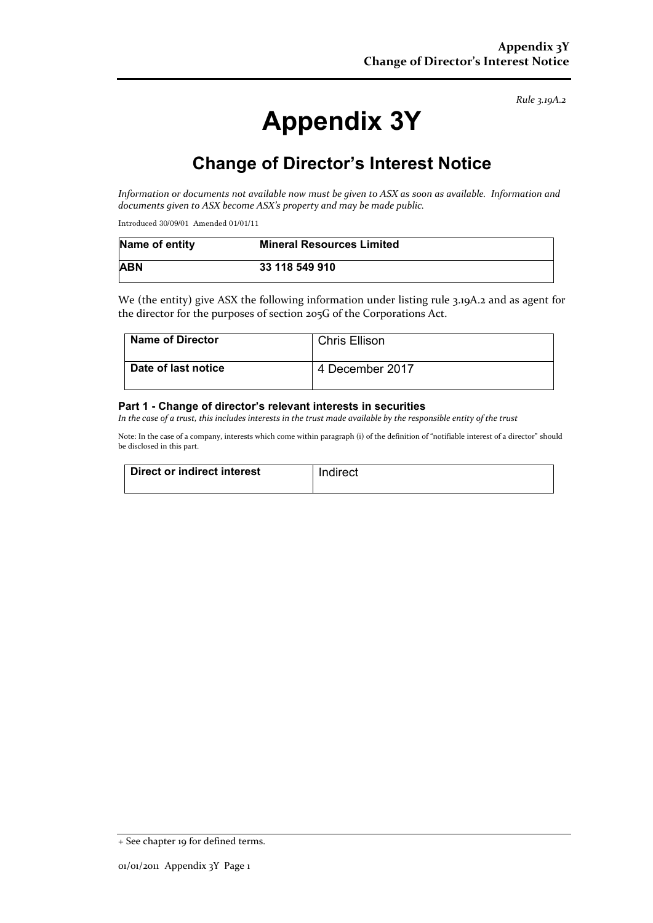*Rule 3.19A.2*

# **Appendix 3Y**

## **Change of Director's Interest Notice**

*Information or documents not available now must be given to ASX as soon as available. Information and documents given to ASX become ASX's property and may be made public.*

Introduced 30/09/01 Amended 01/01/11

| Name of entity | <b>Mineral Resources Limited</b> |
|----------------|----------------------------------|
| <b>ABN</b>     | 33 118 549 910                   |

We (the entity) give ASX the following information under listing rule 3.19A.2 and as agent for the director for the purposes of section 205G of the Corporations Act.

| <b>Name of Director</b> | <b>Chris Ellison</b> |
|-------------------------|----------------------|
| Date of last notice     | 4 December 2017      |

#### **Part 1 - Change of director's relevant interests in securities**

*In the case of a trust, this includes interests in the trust made available by the responsible entity of the trust*

Note: In the case of a company, interests which come within paragraph (i) of the definition of "notifiable interest of a director" should be disclosed in this part.

| Direct or indirect interest | Indirect |
|-----------------------------|----------|
|                             |          |

<sup>+</sup> See chapter 19 for defined terms.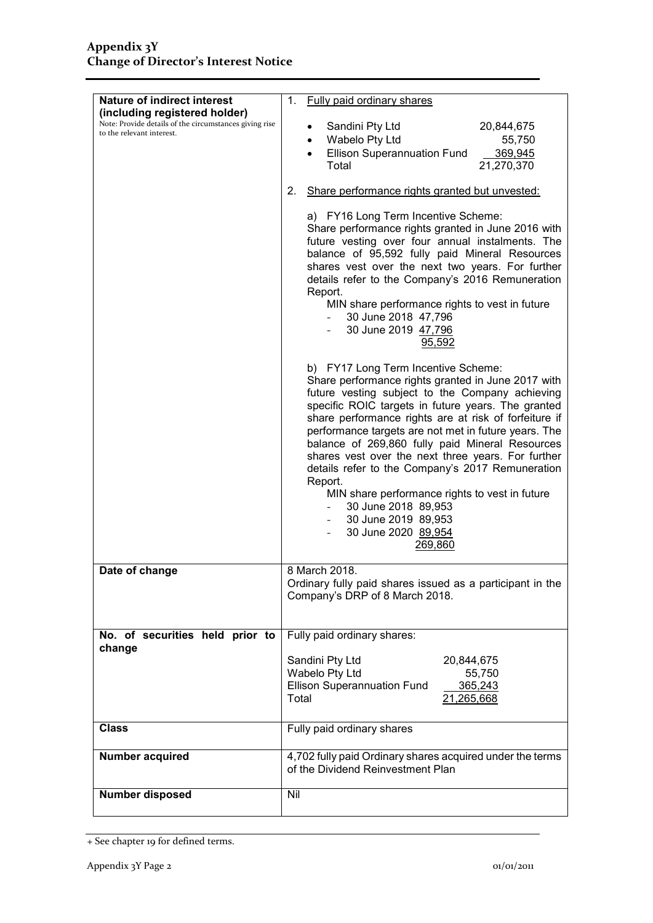| <b>Nature of indirect interest</b>                                                                                   | <b>Fully paid ordinary shares</b><br>1.                                                                                                                                                                                                                                                                                                                                                                                                                                                                                                                                                                                                                                  |
|----------------------------------------------------------------------------------------------------------------------|--------------------------------------------------------------------------------------------------------------------------------------------------------------------------------------------------------------------------------------------------------------------------------------------------------------------------------------------------------------------------------------------------------------------------------------------------------------------------------------------------------------------------------------------------------------------------------------------------------------------------------------------------------------------------|
| (including registered holder)<br>Note: Provide details of the circumstances giving rise<br>to the relevant interest. | Sandini Pty Ltd<br>20,844,675<br>Wabelo Pty Ltd<br>55,750<br>$\bullet$<br><b>Ellison Superannuation Fund</b><br>369,945<br>Total<br>21,270,370                                                                                                                                                                                                                                                                                                                                                                                                                                                                                                                           |
|                                                                                                                      | Share performance rights granted but unvested:<br>2.                                                                                                                                                                                                                                                                                                                                                                                                                                                                                                                                                                                                                     |
|                                                                                                                      | a) FY16 Long Term Incentive Scheme:<br>Share performance rights granted in June 2016 with<br>future vesting over four annual instalments. The<br>balance of 95,592 fully paid Mineral Resources<br>shares vest over the next two years. For further<br>details refer to the Company's 2016 Remuneration<br>Report.<br>MIN share performance rights to vest in future<br>30 June 2018 47,796<br>30 June 2019 47,796<br>95,592                                                                                                                                                                                                                                             |
|                                                                                                                      | b) FY17 Long Term Incentive Scheme:<br>Share performance rights granted in June 2017 with<br>future vesting subject to the Company achieving<br>specific ROIC targets in future years. The granted<br>share performance rights are at risk of forfeiture if<br>performance targets are not met in future years. The<br>balance of 269,860 fully paid Mineral Resources<br>shares vest over the next three years. For further<br>details refer to the Company's 2017 Remuneration<br>Report.<br>MIN share performance rights to vest in future<br>30 June 2018 89,953<br>$\sim$<br>30 June 2019 89,953<br>$\omega_{\rm{max}}$<br>30 June 2020 89,954<br>$\sim$<br>269,860 |
| Date of change                                                                                                       | 8 March 2018.                                                                                                                                                                                                                                                                                                                                                                                                                                                                                                                                                                                                                                                            |
|                                                                                                                      | Ordinary fully paid shares issued as a participant in the<br>Company's DRP of 8 March 2018.                                                                                                                                                                                                                                                                                                                                                                                                                                                                                                                                                                              |
| No. of securities held prior to<br>change                                                                            | Fully paid ordinary shares:                                                                                                                                                                                                                                                                                                                                                                                                                                                                                                                                                                                                                                              |
|                                                                                                                      | Sandini Pty Ltd<br>20,844,675<br>Wabelo Pty Ltd<br>55,750<br><b>Ellison Superannuation Fund</b><br>365,243<br>Total<br>21,265,668                                                                                                                                                                                                                                                                                                                                                                                                                                                                                                                                        |
| <b>Class</b>                                                                                                         | Fully paid ordinary shares                                                                                                                                                                                                                                                                                                                                                                                                                                                                                                                                                                                                                                               |
| Number acquired                                                                                                      | 4,702 fully paid Ordinary shares acquired under the terms<br>of the Dividend Reinvestment Plan                                                                                                                                                                                                                                                                                                                                                                                                                                                                                                                                                                           |
| Number disposed                                                                                                      | Nil                                                                                                                                                                                                                                                                                                                                                                                                                                                                                                                                                                                                                                                                      |

<sup>+</sup> See chapter 19 for defined terms.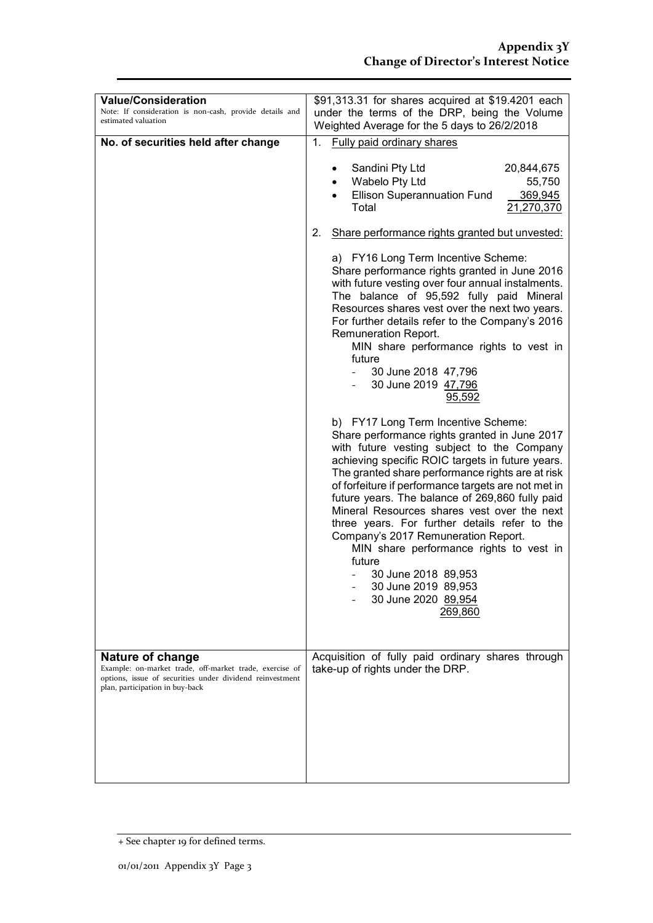| <b>Value/Consideration</b><br>Note: If consideration is non-cash, provide details and<br>estimated valuation                                                                      | \$91,313.31 for shares acquired at \$19.4201 each<br>under the terms of the DRP, being the Volume<br>Weighted Average for the 5 days to 26/2/2018                                                                                                                                                                                                                                                                                                                                                                                                                                                                                |                   |
|-----------------------------------------------------------------------------------------------------------------------------------------------------------------------------------|----------------------------------------------------------------------------------------------------------------------------------------------------------------------------------------------------------------------------------------------------------------------------------------------------------------------------------------------------------------------------------------------------------------------------------------------------------------------------------------------------------------------------------------------------------------------------------------------------------------------------------|-------------------|
| No. of securities held after change                                                                                                                                               | <b>Fully paid ordinary shares</b><br>1.                                                                                                                                                                                                                                                                                                                                                                                                                                                                                                                                                                                          |                   |
|                                                                                                                                                                                   | Sandini Pty Ltd<br>20,844,675<br>Wabelo Pty Ltd<br><b>Ellison Superannuation Fund</b><br>Total<br>21,270,370                                                                                                                                                                                                                                                                                                                                                                                                                                                                                                                     | 55,750<br>369,945 |
|                                                                                                                                                                                   | Share performance rights granted but unvested:<br>2.                                                                                                                                                                                                                                                                                                                                                                                                                                                                                                                                                                             |                   |
|                                                                                                                                                                                   | a) FY16 Long Term Incentive Scheme:<br>Share performance rights granted in June 2016<br>with future vesting over four annual instalments.<br>The balance of 95,592 fully paid Mineral<br>Resources shares vest over the next two years.<br>For further details refer to the Company's 2016<br>Remuneration Report.<br>MIN share performance rights to vest in<br>future<br>30 June 2018 47,796<br>30 June 2019 47,796<br>95,592                                                                                                                                                                                                  |                   |
|                                                                                                                                                                                   | b) FY17 Long Term Incentive Scheme:<br>Share performance rights granted in June 2017<br>with future vesting subject to the Company<br>achieving specific ROIC targets in future years.<br>The granted share performance rights are at risk<br>of forfeiture if performance targets are not met in<br>future years. The balance of 269,860 fully paid<br>Mineral Resources shares vest over the next<br>three years. For further details refer to the<br>Company's 2017 Remuneration Report.<br>MIN share performance rights to vest in<br>future<br>30 June 2018 89,953<br>30 June 2019 89,953<br>30 June 2020 89,954<br>269,860 |                   |
| <b>Nature of change</b><br>Example: on-market trade, off-market trade, exercise of<br>options, issue of securities under dividend reinvestment<br>plan, participation in buy-back | Acquisition of fully paid ordinary shares through<br>take-up of rights under the DRP.                                                                                                                                                                                                                                                                                                                                                                                                                                                                                                                                            |                   |
|                                                                                                                                                                                   |                                                                                                                                                                                                                                                                                                                                                                                                                                                                                                                                                                                                                                  |                   |

<sup>+</sup> See chapter 19 for defined terms.